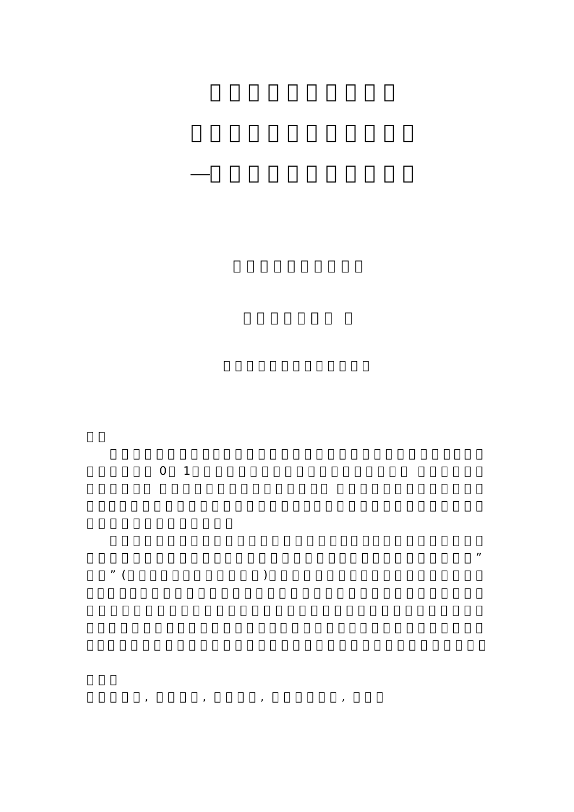$\longrightarrow$ 

 $0 \quad 1$ 

 $(2, 3, 4)$ 

 $\mathbf{a} = \mathbf{a} \cdot \mathbf{a}$ 

 $\begin{array}{c} \text{ } n \end{array}$